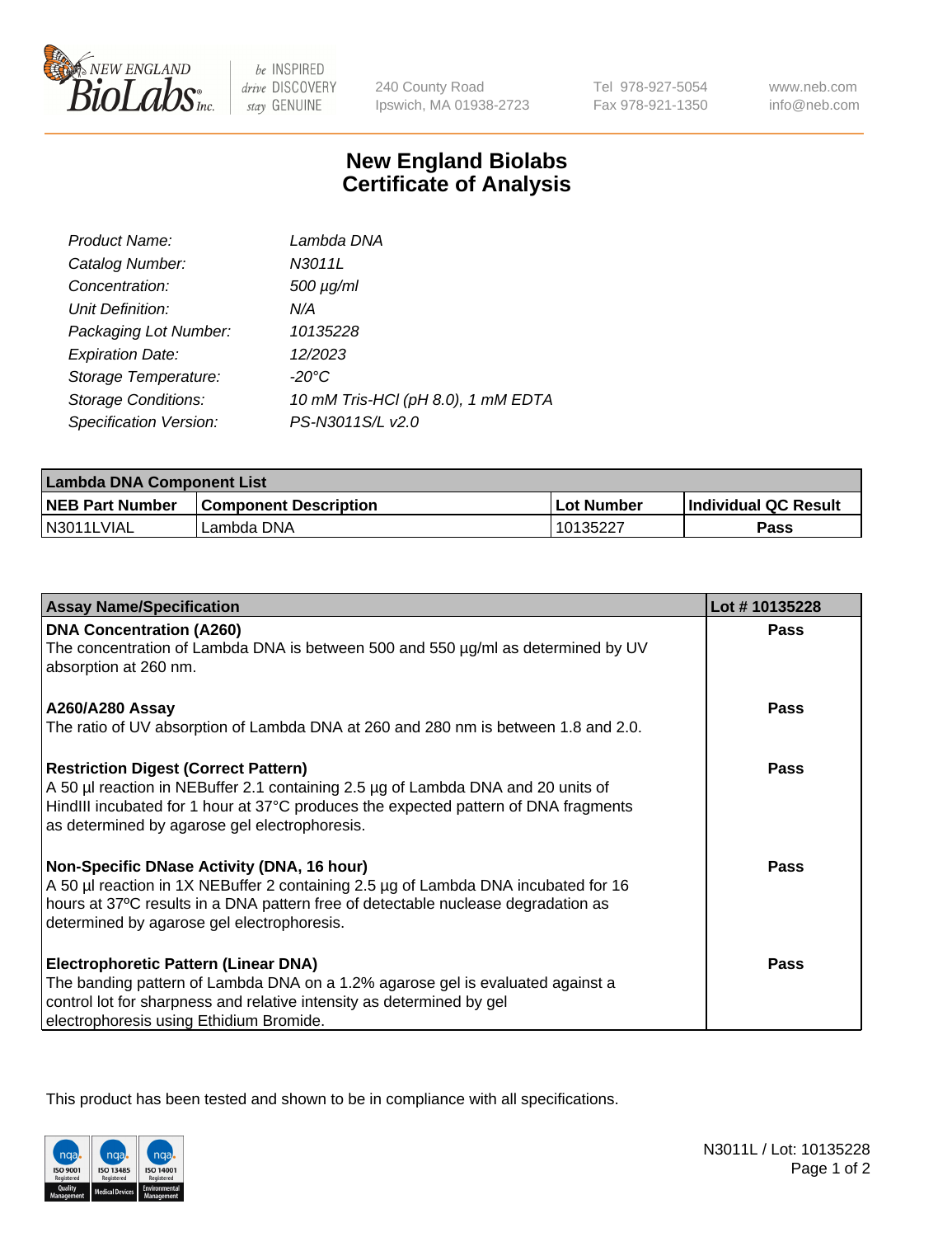

 $be$  INSPIRED drive DISCOVERY stay GENUINE

240 County Road Ipswich, MA 01938-2723 Tel 978-927-5054 Fax 978-921-1350 www.neb.com info@neb.com

## **New England Biolabs Certificate of Analysis**

| Product Name:              | Lambda DNA                         |
|----------------------------|------------------------------------|
| Catalog Number:            | N3011L                             |
| Concentration:             | $500 \mu g/ml$                     |
| Unit Definition:           | N/A                                |
| Packaging Lot Number:      | 10135228                           |
| <b>Expiration Date:</b>    | 12/2023                            |
| Storage Temperature:       | $-20^{\circ}$ C                    |
| <b>Storage Conditions:</b> | 10 mM Tris-HCl (pH 8.0), 1 mM EDTA |
| Specification Version:     | PS-N3011S/L v2.0                   |

| <b>Lambda DNA Component List</b> |                              |            |                      |  |
|----------------------------------|------------------------------|------------|----------------------|--|
| <b>NEB Part Number</b>           | <b>Component Description</b> | Lot Number | Individual QC Result |  |
| N3011LVIAL                       | 'Lambda DNA                  | 10135227   | Pass                 |  |

| <b>Assay Name/Specification</b>                                                                                                                                                                                                                                            | Lot #10135228 |
|----------------------------------------------------------------------------------------------------------------------------------------------------------------------------------------------------------------------------------------------------------------------------|---------------|
| <b>DNA Concentration (A260)</b><br>The concentration of Lambda DNA is between 500 and 550 µg/ml as determined by UV<br>absorption at 260 nm.                                                                                                                               | <b>Pass</b>   |
| <b>A260/A280 Assay</b><br>The ratio of UV absorption of Lambda DNA at 260 and 280 nm is between 1.8 and 2.0.                                                                                                                                                               | <b>Pass</b>   |
| <b>Restriction Digest (Correct Pattern)</b><br>A 50 µl reaction in NEBuffer 2.1 containing 2.5 µg of Lambda DNA and 20 units of<br>HindIII incubated for 1 hour at 37°C produces the expected pattern of DNA fragments<br>as determined by agarose gel electrophoresis.    | Pass          |
| <b>Non-Specific DNase Activity (DNA, 16 hour)</b><br>A 50 µl reaction in 1X NEBuffer 2 containing 2.5 µg of Lambda DNA incubated for 16<br>hours at 37°C results in a DNA pattern free of detectable nuclease degradation as<br>determined by agarose gel electrophoresis. | Pass          |
| <b>Electrophoretic Pattern (Linear DNA)</b><br>The banding pattern of Lambda DNA on a 1.2% agarose gel is evaluated against a<br>control lot for sharpness and relative intensity as determined by gel<br>electrophoresis using Ethidium Bromide.                          | Pass          |

This product has been tested and shown to be in compliance with all specifications.